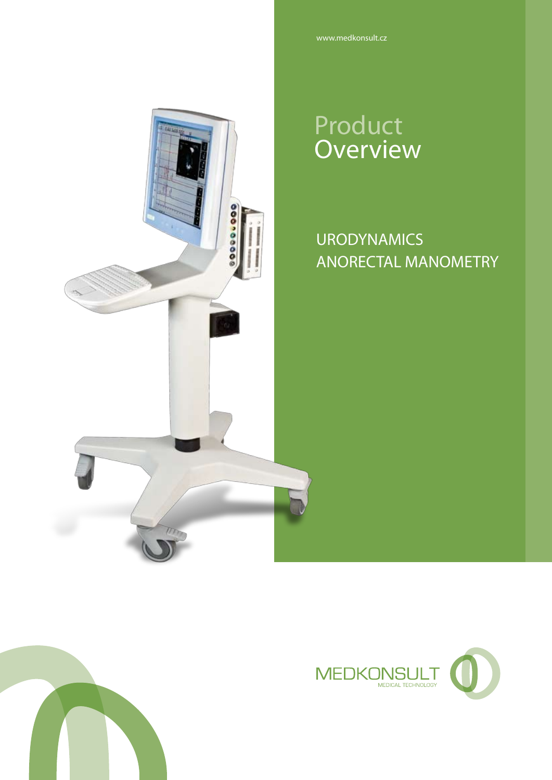# Product **Overview**

00000000

# URODYNAMICS ANORECTAL MANOMETRY



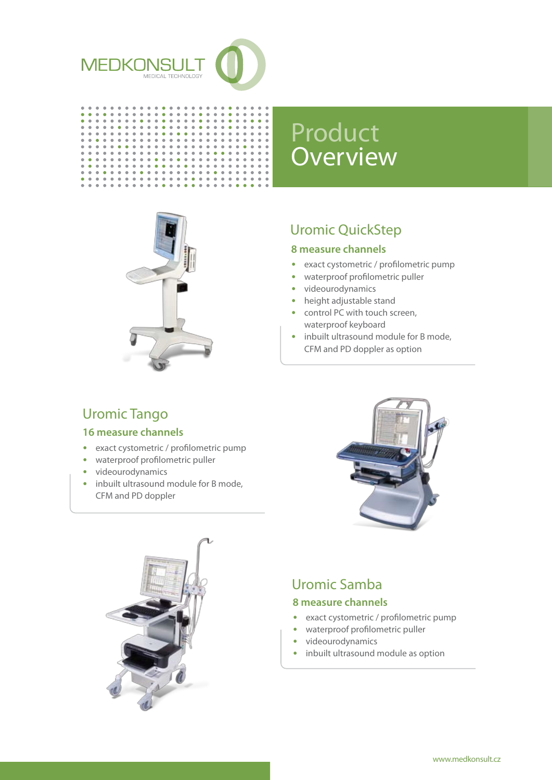

 $\ddot{\bullet}$  $\ddot{\bullet}$ 

 $\ddot{\phantom{1}}$  $\ddot{\phantom{1}}$  $\alpha$  $\alpha$ 

> $\bullet$  $\bullet$  $\bullet$  $\bullet$  $\bullet$  $\bullet$  $\bullet$  $\bullet$  $\bullet$

 $\bullet$  $\bullet$  $\bullet$ 

 $\bullet$ 

 $\ddot{\phantom{a}}$  $\bullet$  $\bullet$  $\ddot{\phantom{a}}$  $\bullet$  $\bullet$  $\bullet$  $\bullet$  $\bullet$  $\blacksquare$ ×

 $\bullet$ 

 $\bullet$ 

 $\bullet$ 

 $\begin{array}{c} \bullet\bullet\bullet\bullet\bullet\\ \bullet\bullet\bullet\bullet\\ \bullet\bullet\bullet\bullet \end{array}$  $\begin{array}{c} \bullet \\ \bullet \end{array}$  $\ddot{\phantom{a}}$  $\ddot{\phantom{1}}$  $\ddot{\bullet}$  $\hat{\bullet}$  $\ddot{\phantom{1}}$  $\bullet$ 

 $0.000$  $\ddot{\bullet}$  $\ddot{\phantom{a}}$  $\tilde{\bullet}$  $\bar{\bullet}$  $\ddot{\bullet}$  $\ddot{\bullet}$  $\ddot{\phantom{a}}$  $\ddot{\bullet}$  $\ddot{\bullet}$ 

 $\bullet$  $\bullet$  $\bullet$  $\bullet$  $\bullet$  $\bullet$  $\bullet$  $\bullet$  $\bullet$  $\bullet$ 



-----------**-------**

 $\ddot{\bullet}$ 

 $\frac{1}{2}$ 

 $\bullet$  $\bullet$ 



# Uromic QuickStep

#### **8 measure channels**

- exact cystometric / profilometric pump
- waterproof profilometric puller
- videourodynamics
- height adjustable stand
- control PC with touch screen, waterproof keyboard
- inbuilt ultrasound module for B mode, CFM and PD doppler as option

# Uromic Tango

#### **16 measure channels**

- exact cystometric / profilometric pump
- waterproof profilometric puller
- videourodynamics
- inbuilt ultrasound module for B mode, CFM and PD doppler





# Uromic Samba

#### **8 measure channels**

- exact cystometric / profilometric pump
- waterproof profilometric puller
- videourodynamics
- inbuilt ultrasound module as option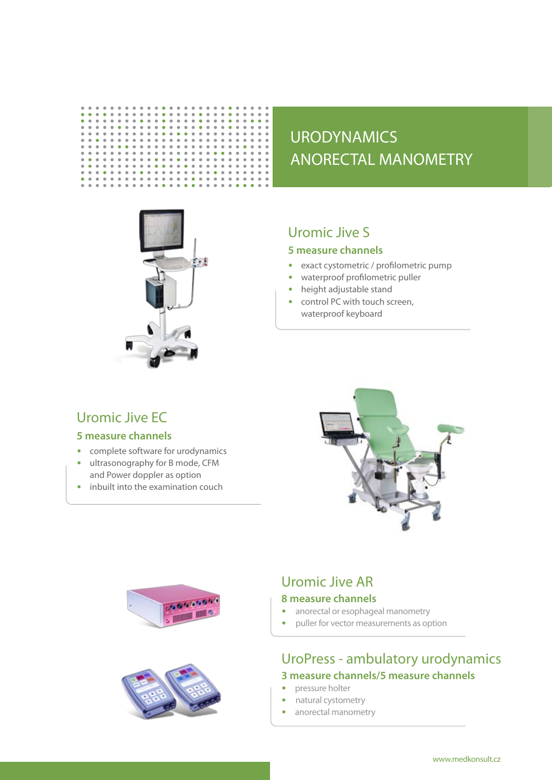# URODYNAMICS ANORECTAL MANOMETRY



#### Uromic Jive S

**.........** 

 $\bullet$ 

 $\overset{\cdot}{\bullet}$ 

 $\bullet$ 

 $\ddot{\bullet}$ 

 $\begin{array}{c} 0 \\ 0 \\ 0 \end{array}$  $\begin{array}{c} \bullet \\ \bullet \\ \bullet \\ \bullet \end{array}$ 

 $\ddot{\phantom{1}}$  $\ddot{\phantom{1}}$ 

#### **5 measure channels**

- exact cystometric / profilometric pump
- waterproof profilometric puller
- height adjustable stand
- control PC with touch screen, waterproof keyboard

### Uromic Jive EC

 $\bullet$  $\ddot{\phantom{a}}$  $\bullet$  $\bullet$  $\ddot{\phantom{a}}$  $\mathbf{r}$  $\bullet$  $\blacksquare$ ×  $\bullet$ ò  $\bullet$  $\bullet$  $\bullet$ ò

 $\bullet$  $\bullet$  $\bullet$  $\bullet$  $\bullet$  $\bullet$  $\bullet$  $\bullet$  $\bullet$  $\bullet$  $\bullet$  $\bullet$  $\bullet$  $\bullet$  $\bullet$  $\bullet$  $\bullet$  $\hat{\mathbf{0}}$  $\bullet$  $\bullet$  $\bullet$  $\bullet$  $\bullet$ 

 $\frac{1}{2}$ 

 $\bullet$  $\bullet$  $0.000$  $\bullet$  $\ddot{\phantom{a}}$  $\bullet$  $\ddot{\phantom{a}}$  $\bullet$  $\bullet$  $\bullet$  $\bullet$  $\bullet$  $\bullet$  $\bullet$  $\bullet$  $\bullet$  $\alpha$  $\bullet$  $\bullet$  $\bullet$ 

 $\bullet$  $\bullet$  $\bullet$  $\bullet$  $\bullet$  $\bullet$  $\bullet$  $\bullet$  $\bullet$  $\bullet$  $\bullet$  $\bullet$  $\bullet$  $\bullet$  $\bullet$  $\bullet$  $\bullet$  $\bullet$  $\bullet$  $\bullet$  $\bullet$  $\ddot{\phantom{a}}$ 

 $\overset{\cdot}{\bullet}$ 

 $\bullet$  $\bullet$  $\bullet$  $\bullet$  $\ddot{\phantom{a}}$  $\bullet$ 

 $\ddot{\phantom{a}}$ ÷  $\ddot{\bullet}$  $\ddot{\bullet}$ ě  $\ddot{\phantom{a}}$  $\ddot{\phantom{a}}$ 

 $\bullet$  $\bullet$  $\bullet$  $\blacksquare$ ó  $\bullet$  $\blacksquare$ 

 $\ddot{\phantom{1}}$  $\ddot{\phantom{1}}$ 

#### **5 measure channels**

- complete software for urodynamics
- ultrasonography for B mode, CFM
- and Power doppler as option • inbuilt into the examination couch







# Uromic Jive AR

#### **8 measure channels**

- anorectal or esophageal manometry
- puller for vector measurements as option

### UroPress - ambulatory urodynamics **3 measure channels/5 measure channels**

- pressure holter
- natural cystometry
- anorectal manometry